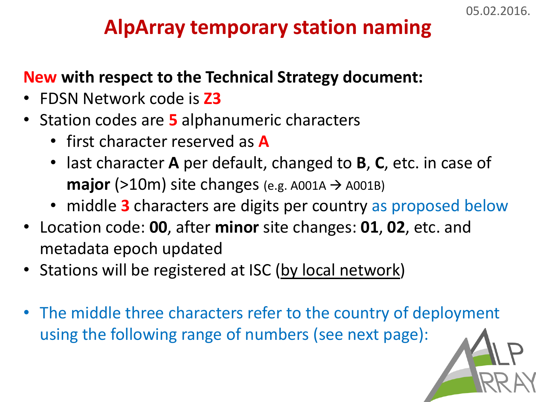## **AlpArray temporary station naming**

## **New with respect to the Technical Strategy document:**

- FDSN Network code is **Z3**
- Station codes are **5** alphanumeric characters
	- first character reserved as **A**
	- last character **A** per default, changed to **B**, **C**, etc. in case of **major** ( $>10$ m) site changes (e.g. A001A  $\rightarrow$  A001B)
	- middle **3** characters are digits per country as proposed below
- Location code: **00**, after **minor** site changes: **01**, **02**, etc. and metadata epoch updated
- Stations will be registered at ISC (by local network)
- The middle three characters refer to the country of deployment using the following range of numbers (see next page):